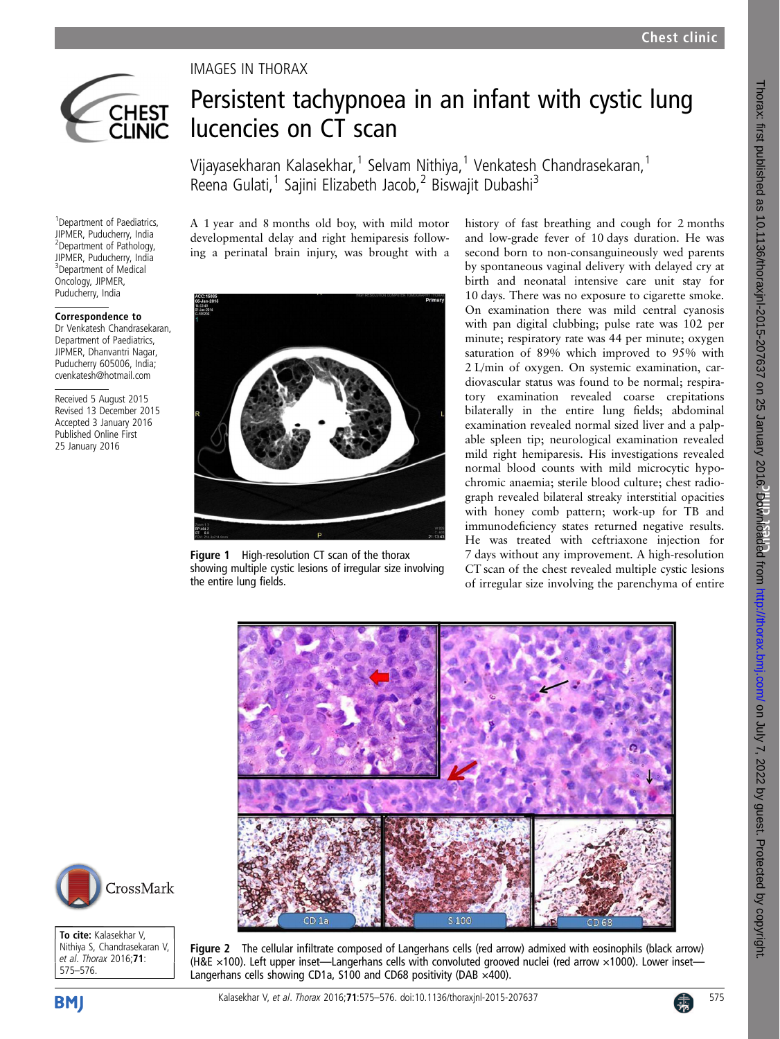<span id="page-0-0"></span>

<sup>1</sup> Department of Paediatrics, JIPMER, Puducherry, India 2 Department of Pathology, JIPMER, Puducherry, India 3 Department of Medical Oncology, JIPMER, Puducherry, India Correspondence to Dr Venkatesh Chandrasekaran, Department of Paediatrics, JIPMER, Dhanvantri Nagar, Puducherry 605006, India; cvenkatesh@hotmail.com Received 5 August 2015 Revised 13 December 2015 Accepted 3 January 2016 Published Online First 25 January 2016

## IMAGES IN THORAX

## Persistent tachypnoea in an infant with cystic lung lucencies on CT scan

Vijayasekharan Kalasekhar,<sup>1</sup> Selvam Nithiya,<sup>1</sup> Venkatesh Chandrasekaran,<sup>1</sup> Reena Gulati,<sup>1</sup> Sajini Elizabeth Jacob,<sup>2</sup> Biswajit Dubashi<sup>3</sup>

A 1 year and 8 months old boy, with mild motor developmental delay and right hemiparesis following a perinatal brain injury, was brought with a



Figure 1 High-resolution CT scan of the thorax showing multiple cystic lesions of irregular size involving the entire lung fields.

history of fast breathing and cough for 2 months and low-grade fever of 10 days duration. He was second born to non-consanguineously wed parents by spontaneous vaginal delivery with delayed cry at birth and neonatal intensive care unit stay for 10 days. There was no exposure to cigarette smoke. On examination there was mild central cyanosis with pan digital clubbing; pulse rate was 102 per minute; respiratory rate was 44 per minute; oxygen saturation of 89% which improved to 95% with 2 L/min of oxygen. On systemic examination, cardiovascular status was found to be normal; respiratory examination revealed coarse crepitations bilaterally in the entire lung fields; abdominal examination revealed normal sized liver and a palpable spleen tip; neurological examination revealed mild right hemiparesis. His investigations revealed normal blood counts with mild microcytic hypochromic anaemia; sterile blood culture; chest radiograph revealed bilateral streaky interstitial opacities with honey comb pattern; work-up for TB and immunodeficiency states returned negative results. He was treated with ceftriaxone injection for 7 days without any improvement. A high-resolution CT scan of the chest revealed multiple cystic lesions of irregular size involving the parenchyma of entire





To cite: Kalasekhar V, Nithiya S, Chandrasekaran V, et al. Thorax 2016;71: 575–576.